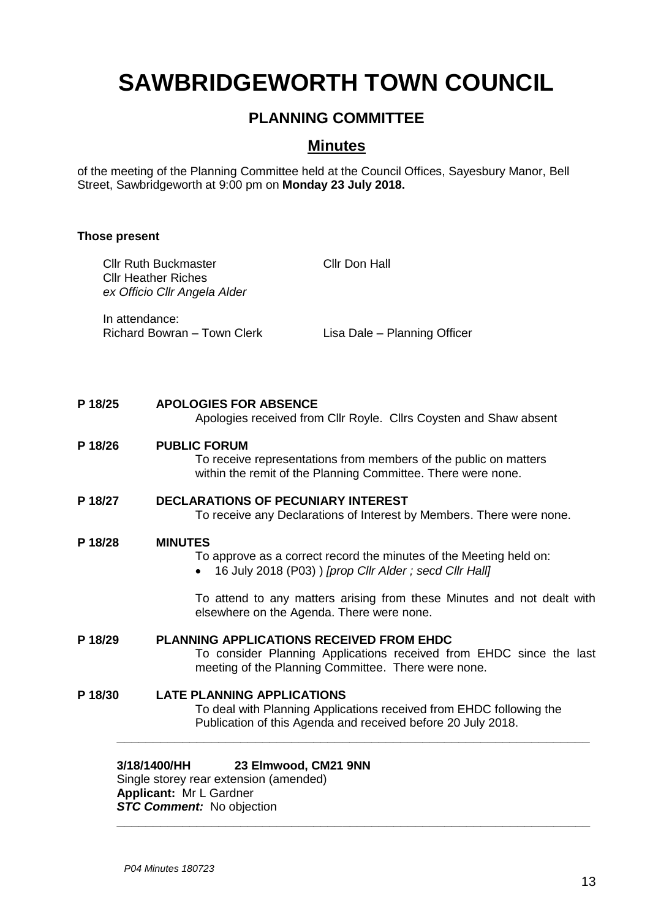# **SAWBRIDGEWORTH TOWN COUNCIL**

## **PLANNING COMMITTEE**

### **Minutes**

of the meeting of the Planning Committee held at the Council Offices, Sayesbury Manor, Bell Street, Sawbridgeworth at 9:00 pm on **Monday 23 July 2018.**

#### **Those present**

|         |                                                                                                                                                | 3/18/1400/HH<br>23 Elmwood, CM21 9NN                                                                                                                                   |                                                                                                                                     |  |
|---------|------------------------------------------------------------------------------------------------------------------------------------------------|------------------------------------------------------------------------------------------------------------------------------------------------------------------------|-------------------------------------------------------------------------------------------------------------------------------------|--|
| P 18/30 |                                                                                                                                                | <b>LATE PLANNING APPLICATIONS</b>                                                                                                                                      | To deal with Planning Applications received from EHDC following the<br>Publication of this Agenda and received before 20 July 2018. |  |
| P 18/29 |                                                                                                                                                | PLANNING APPLICATIONS RECEIVED FROM EHDC<br>To consider Planning Applications received from EHDC since the last<br>meeting of the Planning Committee. There were none. |                                                                                                                                     |  |
|         |                                                                                                                                                | elsewhere on the Agenda. There were none.                                                                                                                              | To attend to any matters arising from these Minutes and not dealt with                                                              |  |
| P 18/28 | <b>MINUTES</b><br>To approve as a correct record the minutes of the Meeting held on:<br>16 July 2018 (P03) ) [prop Cllr Alder; secd Cllr Hall] |                                                                                                                                                                        |                                                                                                                                     |  |
| P 18/27 |                                                                                                                                                | <b>DECLARATIONS OF PECUNIARY INTEREST</b><br>To receive any Declarations of Interest by Members. There were none.                                                      |                                                                                                                                     |  |
| P 18/26 |                                                                                                                                                | <b>PUBLIC FORUM</b><br>To receive representations from members of the public on matters<br>within the remit of the Planning Committee. There were none.                |                                                                                                                                     |  |
| P 18/25 |                                                                                                                                                | <b>APOLOGIES FOR ABSENCE</b><br>Apologies received from Cllr Royle. Cllrs Coysten and Shaw absent                                                                      |                                                                                                                                     |  |
|         | In attendance:                                                                                                                                 | Richard Bowran - Town Clerk                                                                                                                                            | Lisa Dale - Planning Officer                                                                                                        |  |
|         |                                                                                                                                                | <b>Cllr Ruth Buckmaster</b><br><b>Cllr Heather Riches</b><br>ex Officio Cllr Angela Alder                                                                              | Cllr Don Hall                                                                                                                       |  |

**\_\_\_\_\_\_\_\_\_\_\_\_\_\_\_\_\_\_\_\_\_\_\_\_\_\_\_\_\_\_\_\_\_\_\_\_\_\_\_\_\_\_\_\_\_\_\_\_\_\_\_\_\_\_\_\_\_\_\_\_\_\_\_\_\_**

#### **3/18/1400/HH 23 Elmwood, CM21 9NN**

Single storey rear extension (amended) **Applicant:** Mr L Gardner *STC Comment:* No objection